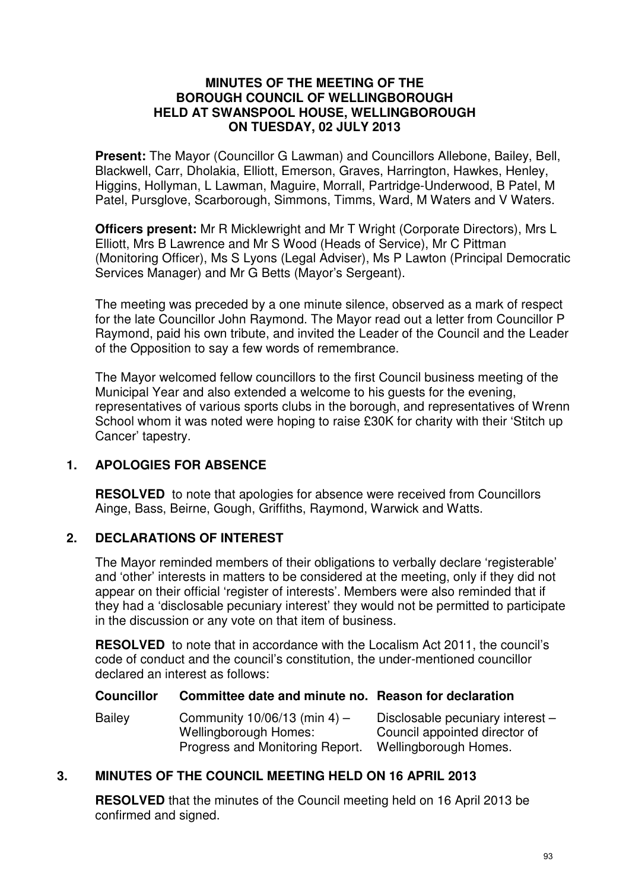#### **MINUTES OF THE MEETING OF THE BOROUGH COUNCIL OF WELLINGBOROUGH HELD AT SWANSPOOL HOUSE, WELLINGBOROUGH ON TUESDAY, 02 JULY 2013**

**Present:** The Mayor (Councillor G Lawman) and Councillors Allebone, Bailey, Bell, Blackwell, Carr, Dholakia, Elliott, Emerson, Graves, Harrington, Hawkes, Henley, Higgins, Hollyman, L Lawman, Maguire, Morrall, Partridge-Underwood, B Patel, M Patel, Pursglove, Scarborough, Simmons, Timms, Ward, M Waters and V Waters.

**Officers present:** Mr R Micklewright and Mr T Wright (Corporate Directors), Mrs L Elliott, Mrs B Lawrence and Mr S Wood (Heads of Service), Mr C Pittman (Monitoring Officer), Ms S Lyons (Legal Adviser), Ms P Lawton (Principal Democratic Services Manager) and Mr G Betts (Mayor's Sergeant).

The meeting was preceded by a one minute silence, observed as a mark of respect for the late Councillor John Raymond. The Mayor read out a letter from Councillor P Raymond, paid his own tribute, and invited the Leader of the Council and the Leader of the Opposition to say a few words of remembrance.

The Mayor welcomed fellow councillors to the first Council business meeting of the Municipal Year and also extended a welcome to his guests for the evening, representatives of various sports clubs in the borough, and representatives of Wrenn School whom it was noted were hoping to raise £30K for charity with their 'Stitch up Cancer' tapestry.

# **1. APOLOGIES FOR ABSENCE**

**RESOLVED** to note that apologies for absence were received from Councillors Ainge, Bass, Beirne, Gough, Griffiths, Raymond, Warwick and Watts.

## **2. DECLARATIONS OF INTEREST**

The Mayor reminded members of their obligations to verbally declare 'registerable' and 'other' interests in matters to be considered at the meeting, only if they did not appear on their official 'register of interests'. Members were also reminded that if they had a 'disclosable pecuniary interest' they would not be permitted to participate in the discussion or any vote on that item of business.

**RESOLVED** to note that in accordance with the Localism Act 2011, the council's code of conduct and the council's constitution, the under-mentioned councillor declared an interest as follows:

#### **Councillor Committee date and minute no. Reason for declaration**

| Bailey | Community $10/06/13$ (min 4) -  | Disclosable pecuniary interest - |
|--------|---------------------------------|----------------------------------|
|        | Wellingborough Homes:           | Council appointed director of    |
|        | Progress and Monitoring Report. | Wellingborough Homes.            |

## **3. MINUTES OF THE COUNCIL MEETING HELD ON 16 APRIL 2013**

**RESOLVED** that the minutes of the Council meeting held on 16 April 2013 be confirmed and signed.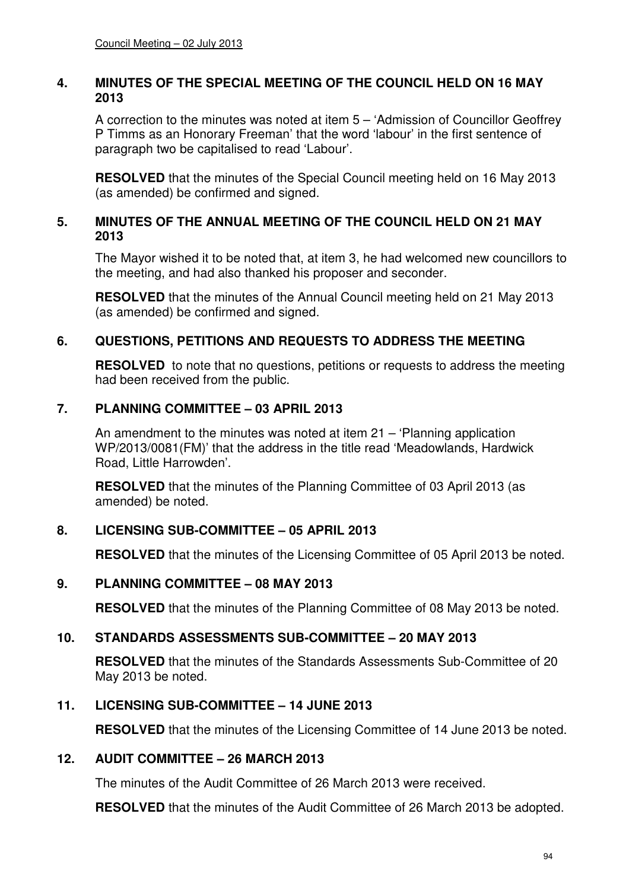#### **4. MINUTES OF THE SPECIAL MEETING OF THE COUNCIL HELD ON 16 MAY 2013**

A correction to the minutes was noted at item 5 – 'Admission of Councillor Geoffrey P Timms as an Honorary Freeman' that the word 'labour' in the first sentence of paragraph two be capitalised to read 'Labour'.

**RESOLVED** that the minutes of the Special Council meeting held on 16 May 2013 (as amended) be confirmed and signed.

#### **5. MINUTES OF THE ANNUAL MEETING OF THE COUNCIL HELD ON 21 MAY 2013**

The Mayor wished it to be noted that, at item 3, he had welcomed new councillors to the meeting, and had also thanked his proposer and seconder.

**RESOLVED** that the minutes of the Annual Council meeting held on 21 May 2013 (as amended) be confirmed and signed.

## **6. QUESTIONS, PETITIONS AND REQUESTS TO ADDRESS THE MEETING**

**RESOLVED** to note that no questions, petitions or requests to address the meeting had been received from the public.

### **7. PLANNING COMMITTEE – 03 APRIL 2013**

An amendment to the minutes was noted at item 21 – 'Planning application WP/2013/0081(FM)' that the address in the title read 'Meadowlands, Hardwick Road, Little Harrowden'.

**RESOLVED** that the minutes of the Planning Committee of 03 April 2013 (as amended) be noted.

## **8. LICENSING SUB-COMMITTEE – 05 APRIL 2013**

**RESOLVED** that the minutes of the Licensing Committee of 05 April 2013 be noted.

#### **9. PLANNING COMMITTEE – 08 MAY 2013**

**RESOLVED** that the minutes of the Planning Committee of 08 May 2013 be noted.

## **10. STANDARDS ASSESSMENTS SUB-COMMITTEE – 20 MAY 2013**

**RESOLVED** that the minutes of the Standards Assessments Sub-Committee of 20 May 2013 be noted.

## **11. LICENSING SUB-COMMITTEE – 14 JUNE 2013**

**RESOLVED** that the minutes of the Licensing Committee of 14 June 2013 be noted.

### **12. AUDIT COMMITTEE – 26 MARCH 2013**

The minutes of the Audit Committee of 26 March 2013 were received.

**RESOLVED** that the minutes of the Audit Committee of 26 March 2013 be adopted.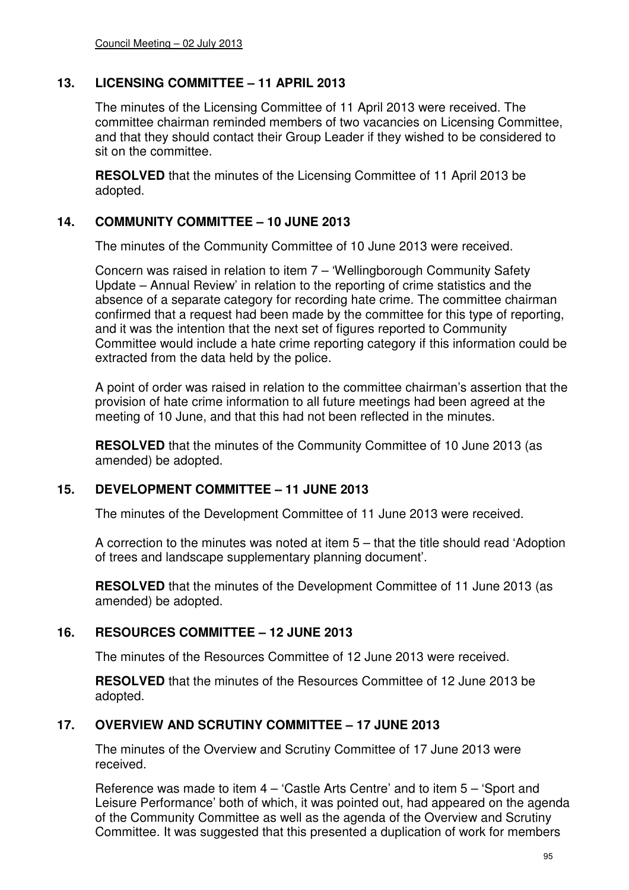## **13. LICENSING COMMITTEE – 11 APRIL 2013**

The minutes of the Licensing Committee of 11 April 2013 were received. The committee chairman reminded members of two vacancies on Licensing Committee, and that they should contact their Group Leader if they wished to be considered to sit on the committee.

**RESOLVED** that the minutes of the Licensing Committee of 11 April 2013 be adopted.

### **14. COMMUNITY COMMITTEE – 10 JUNE 2013**

The minutes of the Community Committee of 10 June 2013 were received.

Concern was raised in relation to item 7 – 'Wellingborough Community Safety Update – Annual Review' in relation to the reporting of crime statistics and the absence of a separate category for recording hate crime. The committee chairman confirmed that a request had been made by the committee for this type of reporting, and it was the intention that the next set of figures reported to Community Committee would include a hate crime reporting category if this information could be extracted from the data held by the police.

A point of order was raised in relation to the committee chairman's assertion that the provision of hate crime information to all future meetings had been agreed at the meeting of 10 June, and that this had not been reflected in the minutes.

**RESOLVED** that the minutes of the Community Committee of 10 June 2013 (as amended) be adopted.

#### **15. DEVELOPMENT COMMITTEE – 11 JUNE 2013**

The minutes of the Development Committee of 11 June 2013 were received.

A correction to the minutes was noted at item 5 – that the title should read 'Adoption of trees and landscape supplementary planning document'.

**RESOLVED** that the minutes of the Development Committee of 11 June 2013 (as amended) be adopted.

#### **16. RESOURCES COMMITTEE – 12 JUNE 2013**

The minutes of the Resources Committee of 12 June 2013 were received.

**RESOLVED** that the minutes of the Resources Committee of 12 June 2013 be adopted.

## **17. OVERVIEW AND SCRUTINY COMMITTEE – 17 JUNE 2013**

The minutes of the Overview and Scrutiny Committee of 17 June 2013 were received.

Reference was made to item 4 – 'Castle Arts Centre' and to item 5 – 'Sport and Leisure Performance' both of which, it was pointed out, had appeared on the agenda of the Community Committee as well as the agenda of the Overview and Scrutiny Committee. It was suggested that this presented a duplication of work for members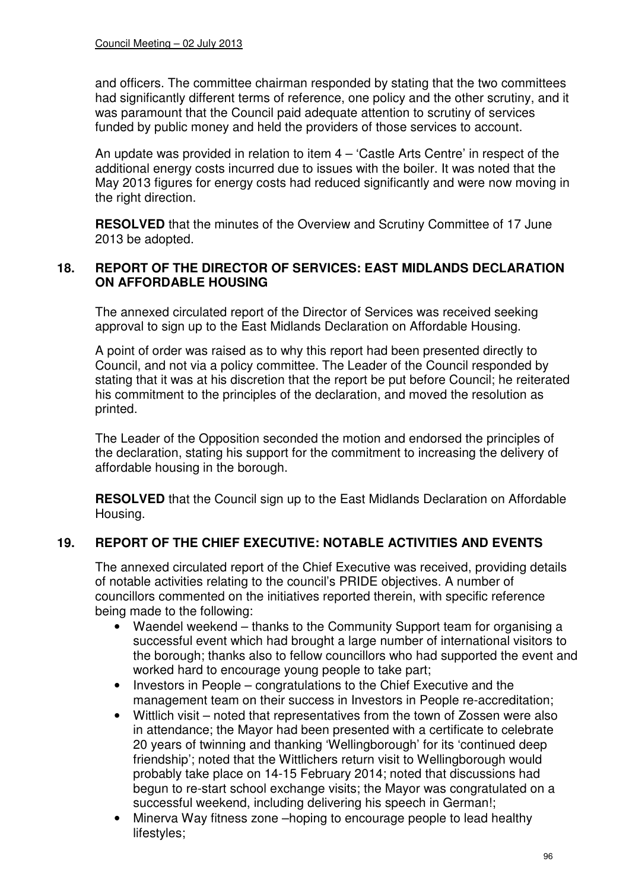and officers. The committee chairman responded by stating that the two committees had significantly different terms of reference, one policy and the other scrutiny, and it was paramount that the Council paid adequate attention to scrutiny of services funded by public money and held the providers of those services to account.

An update was provided in relation to item 4 – 'Castle Arts Centre' in respect of the additional energy costs incurred due to issues with the boiler. It was noted that the May 2013 figures for energy costs had reduced significantly and were now moving in the right direction.

**RESOLVED** that the minutes of the Overview and Scrutiny Committee of 17 June 2013 be adopted.

### **18. REPORT OF THE DIRECTOR OF SERVICES: EAST MIDLANDS DECLARATION ON AFFORDABLE HOUSING**

The annexed circulated report of the Director of Services was received seeking approval to sign up to the East Midlands Declaration on Affordable Housing.

A point of order was raised as to why this report had been presented directly to Council, and not via a policy committee. The Leader of the Council responded by stating that it was at his discretion that the report be put before Council; he reiterated his commitment to the principles of the declaration, and moved the resolution as printed.

The Leader of the Opposition seconded the motion and endorsed the principles of the declaration, stating his support for the commitment to increasing the delivery of affordable housing in the borough.

**RESOLVED** that the Council sign up to the East Midlands Declaration on Affordable Housing.

# **19. REPORT OF THE CHIEF EXECUTIVE: NOTABLE ACTIVITIES AND EVENTS**

The annexed circulated report of the Chief Executive was received, providing details of notable activities relating to the council's PRIDE objectives. A number of councillors commented on the initiatives reported therein, with specific reference being made to the following:

- Waendel weekend thanks to the Community Support team for organising a successful event which had brought a large number of international visitors to the borough; thanks also to fellow councillors who had supported the event and worked hard to encourage young people to take part;
- Investors in People congratulations to the Chief Executive and the management team on their success in Investors in People re-accreditation;
- Wittlich visit noted that representatives from the town of Zossen were also in attendance; the Mayor had been presented with a certificate to celebrate 20 years of twinning and thanking 'Wellingborough' for its 'continued deep friendship'; noted that the Wittlichers return visit to Wellingborough would probably take place on 14-15 February 2014; noted that discussions had begun to re-start school exchange visits; the Mayor was congratulated on a successful weekend, including delivering his speech in German!;
- Minerva Way fitness zone –hoping to encourage people to lead healthy lifestyles;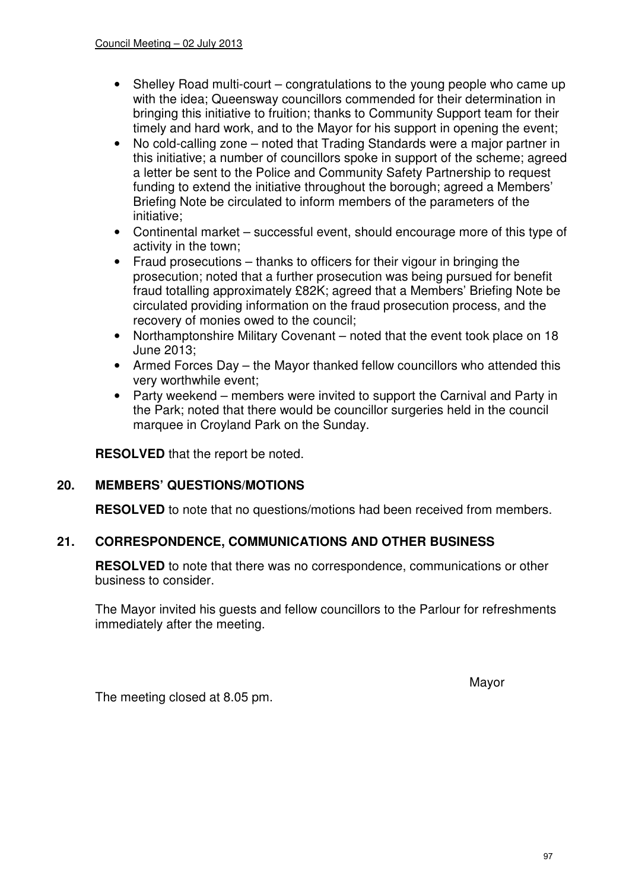- Shelley Road multi-court congratulations to the young people who came up with the idea; Queensway councillors commended for their determination in bringing this initiative to fruition; thanks to Community Support team for their timely and hard work, and to the Mayor for his support in opening the event;
- No cold-calling zone noted that Trading Standards were a major partner in this initiative; a number of councillors spoke in support of the scheme; agreed a letter be sent to the Police and Community Safety Partnership to request funding to extend the initiative throughout the borough; agreed a Members' Briefing Note be circulated to inform members of the parameters of the initiative;
- Continental market successful event, should encourage more of this type of activity in the town;
- Fraud prosecutions thanks to officers for their vigour in bringing the prosecution; noted that a further prosecution was being pursued for benefit fraud totalling approximately £82K; agreed that a Members' Briefing Note be circulated providing information on the fraud prosecution process, and the recovery of monies owed to the council;
- Northamptonshire Military Covenant noted that the event took place on 18 June 2013;
- Armed Forces Day the Mayor thanked fellow councillors who attended this very worthwhile event;
- Party weekend members were invited to support the Carnival and Party in the Park; noted that there would be councillor surgeries held in the council marquee in Croyland Park on the Sunday.

**RESOLVED** that the report be noted.

## **20. MEMBERS' QUESTIONS/MOTIONS**

**RESOLVED** to note that no questions/motions had been received from members.

## **21. CORRESPONDENCE, COMMUNICATIONS AND OTHER BUSINESS**

**RESOLVED** to note that there was no correspondence, communications or other business to consider.

The Mayor invited his guests and fellow councillors to the Parlour for refreshments immediately after the meeting.

where the contract of the contract of the Mayor Mayor

The meeting closed at 8.05 pm.